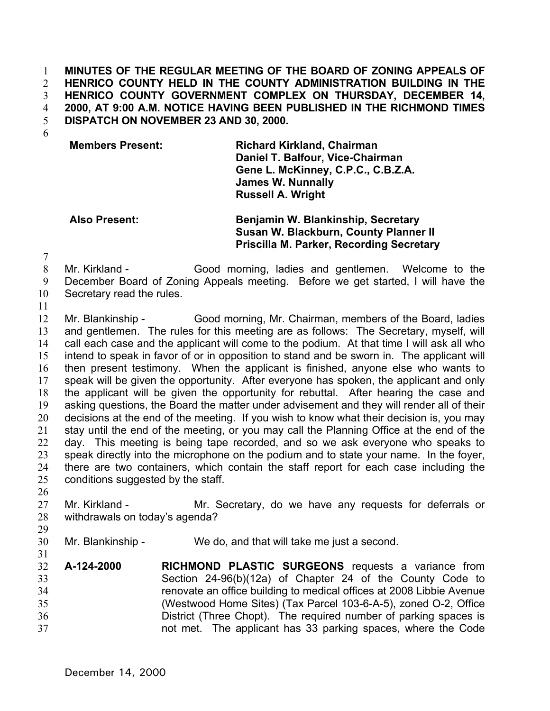**MINUTES OF THE REGULAR MEETING OF THE BOARD OF ZONING APPEALS OF HENRICO COUNTY HELD IN THE COUNTY ADMINISTRATION BUILDING IN THE HENRICO COUNTY GOVERNMENT COMPLEX ON THURSDAY, DECEMBER 14, 2000, AT 9:00 A.M. NOTICE HAVING BEEN PUBLISHED IN THE RICHMOND TIMES DISPATCH ON NOVEMBER 23 AND 30, 2000.**  1 2 3 4 5

6

## **Members Present: Richard Kirkland, Chairman Daniel T. Balfour, Vice-Chairman Gene L. McKinney, C.P.C., C.B.Z.A. James W. Nunnally Russell A. Wright**

## **Also Present: Benjamin W. Blankinship, Secretary Susan W. Blackburn, County Planner II Priscilla M. Parker, Recording Secretary**

7

8 9 10 Mr. Kirkland - Good morning, ladies and gentlemen. Welcome to the December Board of Zoning Appeals meeting. Before we get started, I will have the Secretary read the rules.

11

12 13 14 15 16 17 18 19 20 21 22 23 24 25 Mr. Blankinship - Good morning, Mr. Chairman, members of the Board, ladies and gentlemen. The rules for this meeting are as follows: The Secretary, myself, will call each case and the applicant will come to the podium. At that time I will ask all who intend to speak in favor of or in opposition to stand and be sworn in. The applicant will then present testimony. When the applicant is finished, anyone else who wants to speak will be given the opportunity. After everyone has spoken, the applicant and only the applicant will be given the opportunity for rebuttal. After hearing the case and asking questions, the Board the matter under advisement and they will render all of their decisions at the end of the meeting. If you wish to know what their decision is, you may stay until the end of the meeting, or you may call the Planning Office at the end of the day. This meeting is being tape recorded, and so we ask everyone who speaks to speak directly into the microphone on the podium and to state your name. In the foyer, there are two containers, which contain the staff report for each case including the conditions suggested by the staff.

26

29

31

27 28 Mr. Kirkland - The Mr. Secretary, do we have any requests for deferrals or withdrawals on today's agenda?

- 30 Mr. Blankinship - We do, and that will take me just a second.
- 32 33 34 35 36 37 **A-124-2000 RICHMOND PLASTIC SURGEONS** requests a variance from Section 24-96(b)(12a) of Chapter 24 of the County Code to renovate an office building to medical offices at 2008 Libbie Avenue (Westwood Home Sites) (Tax Parcel 103-6-A-5), zoned O-2, Office District (Three Chopt). The required number of parking spaces is not met. The applicant has 33 parking spaces, where the Code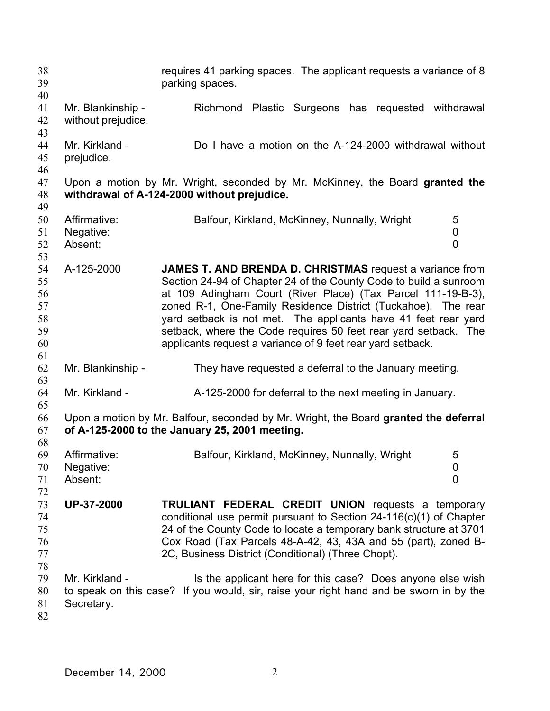| 38<br>39<br>40                               |                                         | requires 41 parking spaces. The applicant requests a variance of 8<br>parking spaces.                                                                                                                                                                                                                                                                                                                                                                             |
|----------------------------------------------|-----------------------------------------|-------------------------------------------------------------------------------------------------------------------------------------------------------------------------------------------------------------------------------------------------------------------------------------------------------------------------------------------------------------------------------------------------------------------------------------------------------------------|
| 41<br>42<br>43                               | Mr. Blankinship -<br>without prejudice. | Plastic Surgeons has requested withdrawal<br>Richmond                                                                                                                                                                                                                                                                                                                                                                                                             |
| 44<br>45<br>46                               | Mr. Kirkland -<br>prejudice.            | Do I have a motion on the A-124-2000 withdrawal without                                                                                                                                                                                                                                                                                                                                                                                                           |
| 47<br>48<br>49                               |                                         | Upon a motion by Mr. Wright, seconded by Mr. McKinney, the Board granted the<br>withdrawal of A-124-2000 without prejudice.                                                                                                                                                                                                                                                                                                                                       |
| 50<br>51<br>52<br>53                         | Affirmative:<br>Negative:<br>Absent:    | 5<br>Balfour, Kirkland, McKinney, Nunnally, Wright<br>0<br>$\overline{0}$                                                                                                                                                                                                                                                                                                                                                                                         |
| 54<br>55<br>56<br>57<br>58<br>59<br>60<br>61 | A-125-2000                              | JAMES T. AND BRENDA D. CHRISTMAS request a variance from<br>Section 24-94 of Chapter 24 of the County Code to build a sunroom<br>at 109 Adingham Court (River Place) (Tax Parcel 111-19-B-3),<br>zoned R-1, One-Family Residence District (Tuckahoe). The rear<br>yard setback is not met. The applicants have 41 feet rear yard<br>setback, where the Code requires 50 feet rear yard setback. The<br>applicants request a variance of 9 feet rear yard setback. |
| 62<br>63                                     | Mr. Blankinship -                       | They have requested a deferral to the January meeting.                                                                                                                                                                                                                                                                                                                                                                                                            |
| 64<br>65                                     | Mr. Kirkland -                          | A-125-2000 for deferral to the next meeting in January.                                                                                                                                                                                                                                                                                                                                                                                                           |
| 66<br>67<br>68                               |                                         | Upon a motion by Mr. Balfour, seconded by Mr. Wright, the Board granted the deferral<br>of A-125-2000 to the January 25, 2001 meeting.                                                                                                                                                                                                                                                                                                                            |
| 69<br>$70\,$<br>71<br>72                     | Affirmative:<br>Negative:<br>Absent:    | Balfour, Kirkland, McKinney, Nunnally, Wright<br>5<br>0<br>0                                                                                                                                                                                                                                                                                                                                                                                                      |
| 73<br>74<br>75<br>76<br>77                   | <b>UP-37-2000</b>                       | <b>TRULIANT FEDERAL CREDIT UNION</b> requests a temporary<br>conditional use permit pursuant to Section $24-116(c)(1)$ of Chapter<br>24 of the County Code to locate a temporary bank structure at 3701<br>Cox Road (Tax Parcels 48-A-42, 43, 43A and 55 (part), zoned B-<br>2C, Business District (Conditional) (Three Chopt).                                                                                                                                   |
| 78<br>79<br>80<br>81<br>82                   | Mr. Kirkland -<br>Secretary.            | Is the applicant here for this case? Does anyone else wish<br>to speak on this case? If you would, sir, raise your right hand and be sworn in by the                                                                                                                                                                                                                                                                                                              |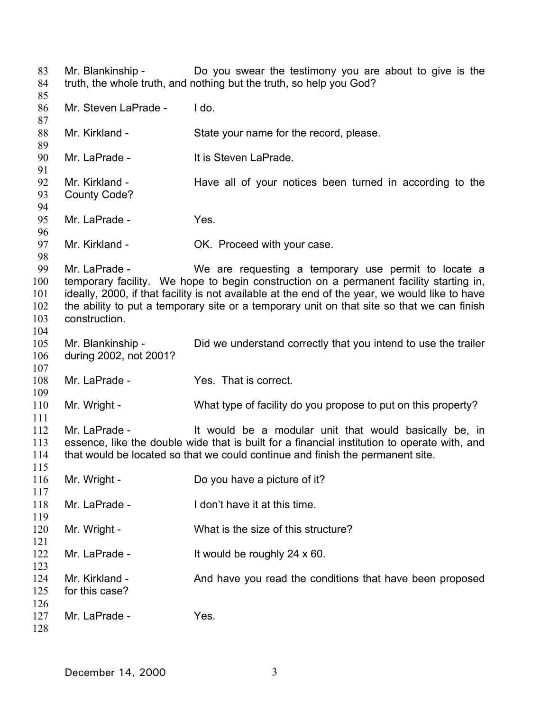Mr. Blankinship - Do you swear the testimony you are about to give is the truth, the whole truth, and nothing but the truth, so help you God? Mr. Steven LaPrade - I do. Mr. Kirkland - State your name for the record, please. Mr. LaPrade - It is Steven LaPrade. Mr. Kirkland - The Have all of your notices been turned in according to the County Code? Mr. LaPrade - Yes. Mr. Kirkland - **OK.** Proceed with your case. Mr. LaPrade - We are requesting a temporary use permit to locate a temporary facility. We hope to begin construction on a permanent facility starting in, ideally, 2000, if that facility is not available at the end of the year, we would like to have the ability to put a temporary site or a temporary unit on that site so that we can finish construction. Mr. Blankinship - The Did we understand correctly that you intend to use the trailer during 2002, not 2001? Mr. LaPrade - The Yes. That is correct. Mr. Wright - What type of facility do you propose to put on this property? Mr. LaPrade - The Musuld be a modular unit that would basically be, in essence, like the double wide that is built for a financial institution to operate with, and that would be located so that we could continue and finish the permanent site. Mr. Wright - Do you have a picture of it? Mr. LaPrade - I don't have it at this time. Mr. Wright - What is the size of this structure? Mr. LaPrade - It would be roughly 24 x 60. Mr. Kirkland - And have you read the conditions that have been proposed for this case? Mr. LaPrade - Yes.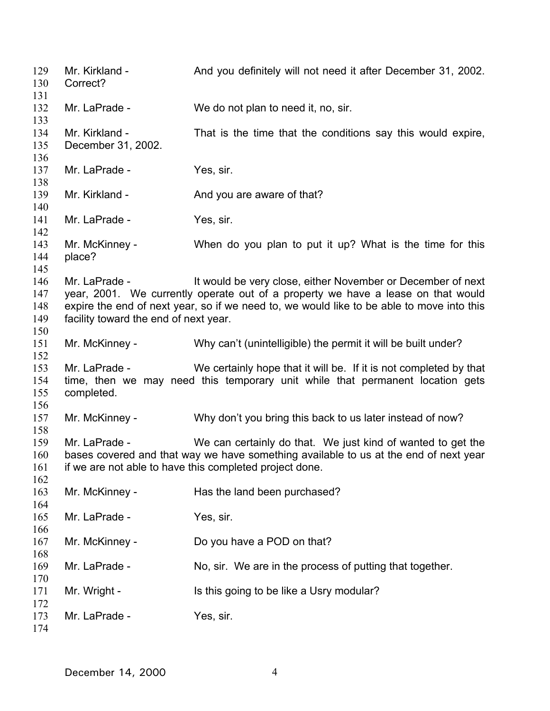Mr. Kirkland - And you definitely will not need it after December 31, 2002. Correct? Mr. LaPrade - We do not plan to need it, no, sir. Mr. Kirkland - That is the time that the conditions say this would expire, December 31, 2002. Mr. LaPrade - Yes. sir. Mr. Kirkland - The And you are aware of that? Mr. LaPrade - Yes, sir. Mr. McKinney - When do you plan to put it up? What is the time for this place? Mr. LaPrade - It would be very close, either November or December of next year, 2001. We currently operate out of a property we have a lease on that would expire the end of next year, so if we need to, we would like to be able to move into this facility toward the end of next year. Mr. McKinney - Why can't (unintelligible) the permit it will be built under? Mr. LaPrade - We certainly hope that it will be. If it is not completed by that time, then we may need this temporary unit while that permanent location gets completed. Mr. McKinney - Why don't you bring this back to us later instead of now? Mr. LaPrade - We can certainly do that. We just kind of wanted to get the bases covered and that way we have something available to us at the end of next year if we are not able to have this completed project done. Mr. McKinney - Has the land been purchased? Mr. LaPrade - Yes. sir. Mr. McKinney - Do you have a POD on that? Mr. LaPrade - No, sir. We are in the process of putting that together. Mr. Wright - Is this going to be like a Usry modular? Mr. LaPrade - Yes. sir.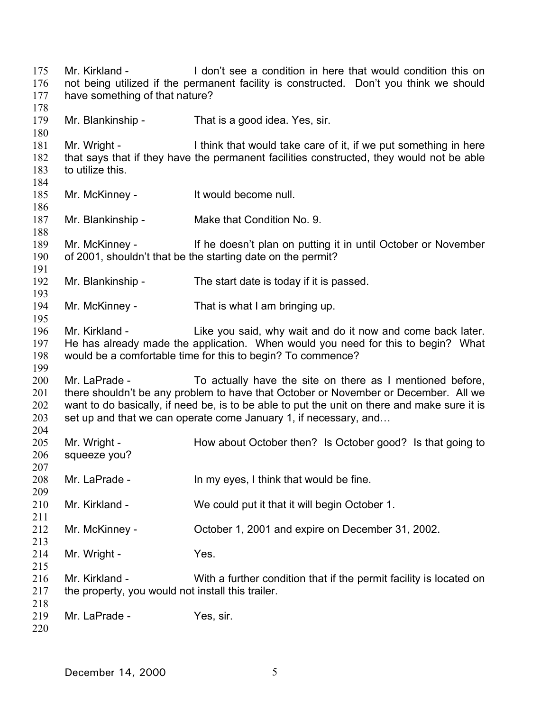Mr. Kirkland - I don't see a condition in here that would condition this on not being utilized if the permanent facility is constructed. Don't you think we should have something of that nature? Mr. Blankinship - That is a good idea. Yes, sir. Mr. Wright - I think that would take care of it, if we put something in here that says that if they have the permanent facilities constructed, they would not be able to utilize this. Mr. McKinney - The Muslim of the McKinney - The McMuslim Intervalse null. Mr. Blankinship - Make that Condition No. 9. Mr. McKinney - The doesn't plan on putting it in until October or November of 2001, shouldn't that be the starting date on the permit? Mr. Blankinship - The start date is today if it is passed. Mr. McKinney - That is what I am bringing up. Mr. Kirkland - Like you said, why wait and do it now and come back later. He has already made the application. When would you need for this to begin? What would be a comfortable time for this to begin? To commence? Mr. LaPrade - To actually have the site on there as I mentioned before, there shouldn't be any problem to have that October or November or December. All we want to do basically, if need be, is to be able to put the unit on there and make sure it is set up and that we can operate come January 1, if necessary, and… Mr. Wright - **How about October then?** Is October good? Is that going to squeeze you? Mr. LaPrade - In my eyes, I think that would be fine. Mr. Kirkland - We could put it that it will begin October 1. Mr. McKinney - Corober 1, 2001 and expire on December 31, 2002. Mr. Wright - Yes. Mr. Kirkland - With a further condition that if the permit facility is located on the property, you would not install this trailer. Mr. LaPrade - Yes. sir.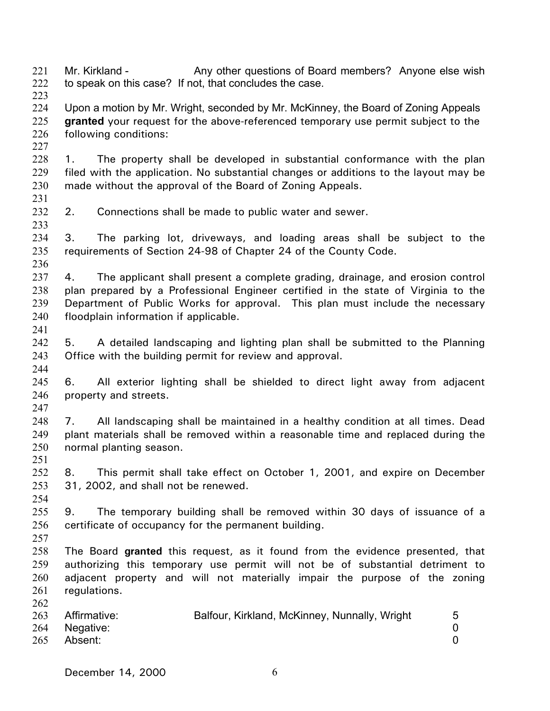221 222 223 Mr. Kirkland - Any other questions of Board members? Anyone else wish to speak on this case? If not, that concludes the case.

- 224 225 226 Upon a motion by Mr. Wright, seconded by Mr. McKinney, the Board of Zoning Appeals **granted** your request for the above-referenced temporary use permit subject to the following conditions:
- 228 229 230 1. The property shall be developed in substantial conformance with the plan filed with the application. No substantial changes or additions to the layout may be made without the approval of the Board of Zoning Appeals.
- 231

233

236

227

- 232 2. Connections shall be made to public water and sewer.
- 234 235 3. The parking lot, driveways, and loading areas shall be subject to the requirements of Section 24-98 of Chapter 24 of the County Code.
- 237 238 239 240 4. The applicant shall present a complete grading, drainage, and erosion control plan prepared by a Professional Engineer certified in the state of Virginia to the Department of Public Works for approval. This plan must include the necessary floodplain information if applicable.
- 241

- 242 243 5. A detailed landscaping and lighting plan shall be submitted to the Planning Office with the building permit for review and approval.
- 245 246 6. All exterior lighting shall be shielded to direct light away from adjacent property and streets.
- 247
- 248 249 250 251 7. All landscaping shall be maintained in a healthy condition at all times. Dead plant materials shall be removed within a reasonable time and replaced during the normal planting season.
- 252 253 254 8. This permit shall take effect on October 1, 2001, and expire on December 31, 2002, and shall not be renewed.
- 255 256 9. The temporary building shall be removed within 30 days of issuance of a certificate of occupancy for the permanent building.
- 257
- 258 259 260 261 262 The Board **granted** this request, as it found from the evidence presented, that authorizing this temporary use permit will not be of substantial detriment to adjacent property and will not materially impair the purpose of the zoning regulations.

| 263 | Affirmative: | Balfour, Kirkland, McKinney, Nunnally, Wright |  |
|-----|--------------|-----------------------------------------------|--|
| 264 | Negative:    |                                               |  |
| 265 | Absent:      |                                               |  |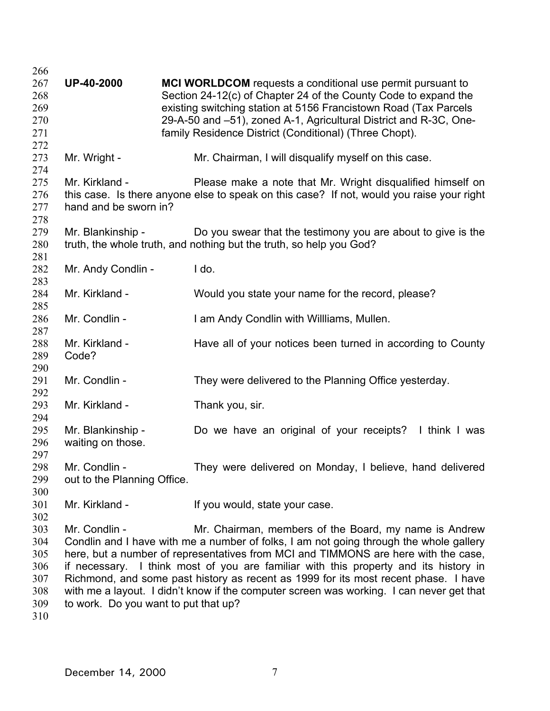| 266 |                                      |                                                                                           |
|-----|--------------------------------------|-------------------------------------------------------------------------------------------|
| 267 | <b>UP-40-2000</b>                    | <b>MCI WORLDCOM</b> requests a conditional use permit pursuant to                         |
| 268 |                                      | Section 24-12(c) of Chapter 24 of the County Code to expand the                           |
| 269 |                                      | existing switching station at 5156 Francistown Road (Tax Parcels                          |
| 270 |                                      | 29-A-50 and -51), zoned A-1, Agricultural District and R-3C, One-                         |
| 271 |                                      | family Residence District (Conditional) (Three Chopt).                                    |
| 272 |                                      |                                                                                           |
| 273 | Mr. Wright -                         | Mr. Chairman, I will disqualify myself on this case.                                      |
| 274 |                                      |                                                                                           |
| 275 | Mr. Kirkland -                       | Please make a note that Mr. Wright disqualified himself on                                |
| 276 |                                      | this case. Is there anyone else to speak on this case? If not, would you raise your right |
| 277 | hand and be sworn in?                |                                                                                           |
| 278 |                                      |                                                                                           |
| 279 | Mr. Blankinship -                    | Do you swear that the testimony you are about to give is the                              |
| 280 |                                      | truth, the whole truth, and nothing but the truth, so help you God?                       |
| 281 |                                      |                                                                                           |
| 282 | Mr. Andy Condlin -                   | I do.                                                                                     |
| 283 |                                      |                                                                                           |
| 284 | Mr. Kirkland -                       | Would you state your name for the record, please?                                         |
| 285 |                                      |                                                                                           |
| 286 | Mr. Condlin -                        | I am Andy Condlin with Willliams, Mullen.                                                 |
| 287 |                                      |                                                                                           |
| 288 | Mr. Kirkland -                       | Have all of your notices been turned in according to County                               |
| 289 | Code?                                |                                                                                           |
| 290 |                                      |                                                                                           |
| 291 | Mr. Condlin -                        | They were delivered to the Planning Office yesterday.                                     |
| 292 |                                      |                                                                                           |
| 293 | Mr. Kirkland -                       | Thank you, sir.                                                                           |
| 294 |                                      |                                                                                           |
| 295 | Mr. Blankinship -                    | Do we have an original of your receipts? I think I was                                    |
| 296 | waiting on those.                    |                                                                                           |
| 297 |                                      |                                                                                           |
| 298 | Mr. Condlin -                        | They were delivered on Monday, I believe, hand delivered                                  |
| 299 | out to the Planning Office.          |                                                                                           |
| 300 |                                      |                                                                                           |
| 301 | Mr. Kirkland -                       | If you would, state your case.                                                            |
| 302 |                                      |                                                                                           |
| 303 | Mr. Condlin -                        | Mr. Chairman, members of the Board, my name is Andrew                                     |
| 304 |                                      | Condlin and I have with me a number of folks, I am not going through the whole gallery    |
| 305 |                                      | here, but a number of representatives from MCI and TIMMONS are here with the case,        |
| 306 |                                      | if necessary. I think most of you are familiar with this property and its history in      |
| 307 |                                      | Richmond, and some past history as recent as 1999 for its most recent phase. I have       |
| 308 |                                      | with me a layout. I didn't know if the computer screen was working. I can never get that  |
| 309 | to work. Do you want to put that up? |                                                                                           |
| 310 |                                      |                                                                                           |
|     |                                      |                                                                                           |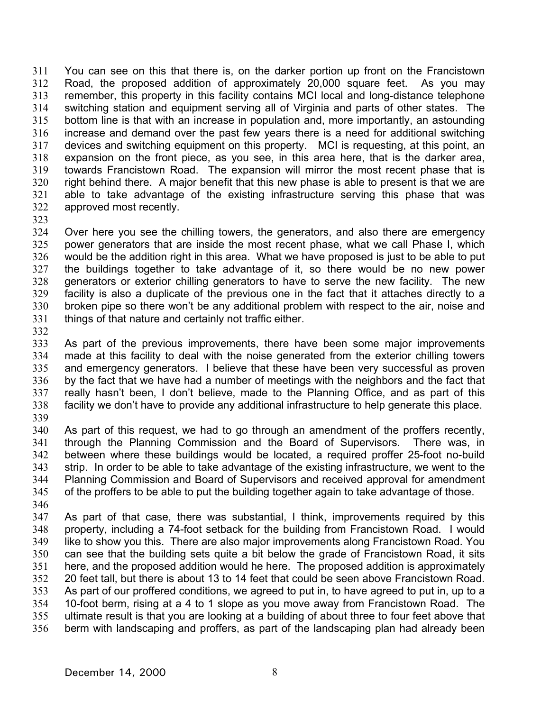311 312 313 314 315 316 317 318 319 320 321 322 You can see on this that there is, on the darker portion up front on the Francistown Road, the proposed addition of approximately 20,000 square feet. As you may remember, this property in this facility contains MCI local and long-distance telephone switching station and equipment serving all of Virginia and parts of other states. The bottom line is that with an increase in population and, more importantly, an astounding increase and demand over the past few years there is a need for additional switching devices and switching equipment on this property. MCI is requesting, at this point, an expansion on the front piece, as you see, in this area here, that is the darker area, towards Francistown Road. The expansion will mirror the most recent phase that is right behind there. A major benefit that this new phase is able to present is that we are able to take advantage of the existing infrastructure serving this phase that was approved most recently.

323

324 325 326 327 328 329 330 331 Over here you see the chilling towers, the generators, and also there are emergency power generators that are inside the most recent phase, what we call Phase I, which would be the addition right in this area. What we have proposed is just to be able to put the buildings together to take advantage of it, so there would be no new power generators or exterior chilling generators to have to serve the new facility. The new facility is also a duplicate of the previous one in the fact that it attaches directly to a broken pipe so there won't be any additional problem with respect to the air, noise and things of that nature and certainly not traffic either.

332

333 334 335 336 337 338 339 As part of the previous improvements, there have been some major improvements made at this facility to deal with the noise generated from the exterior chilling towers and emergency generators. I believe that these have been very successful as proven by the fact that we have had a number of meetings with the neighbors and the fact that really hasn't been, I don't believe, made to the Planning Office, and as part of this facility we don't have to provide any additional infrastructure to help generate this place.

340 341 342 343 344 345 346 As part of this request, we had to go through an amendment of the proffers recently, through the Planning Commission and the Board of Supervisors. There was, in between where these buildings would be located, a required proffer 25-foot no-build strip. In order to be able to take advantage of the existing infrastructure, we went to the Planning Commission and Board of Supervisors and received approval for amendment of the proffers to be able to put the building together again to take advantage of those.

347 348 349 350 351 352 353 354 355 356 As part of that case, there was substantial, I think, improvements required by this property, including a 74-foot setback for the building from Francistown Road. I would like to show you this. There are also major improvements along Francistown Road. You can see that the building sets quite a bit below the grade of Francistown Road, it sits here, and the proposed addition would he here. The proposed addition is approximately 20 feet tall, but there is about 13 to 14 feet that could be seen above Francistown Road. As part of our proffered conditions, we agreed to put in, to have agreed to put in, up to a 10-foot berm, rising at a 4 to 1 slope as you move away from Francistown Road. The ultimate result is that you are looking at a building of about three to four feet above that berm with landscaping and proffers, as part of the landscaping plan had already been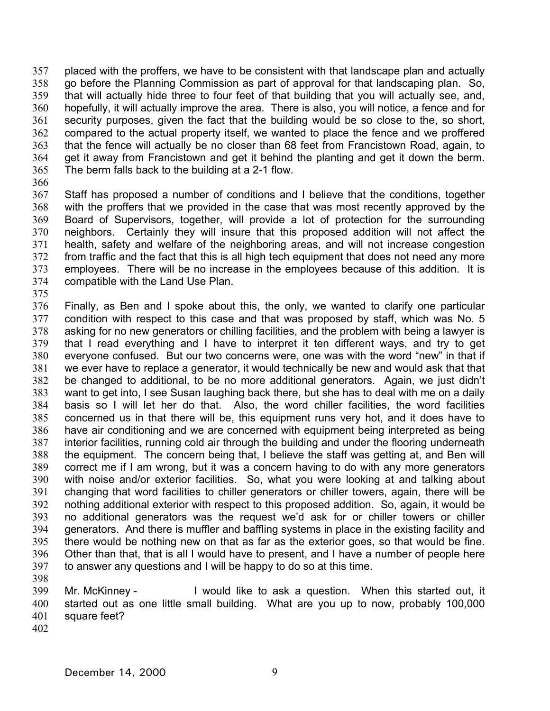357 358 359 360 361 362 363 364 365 placed with the proffers, we have to be consistent with that landscape plan and actually go before the Planning Commission as part of approval for that landscaping plan. So, that will actually hide three to four feet of that building that you will actually see, and, hopefully, it will actually improve the area. There is also, you will notice, a fence and for security purposes, given the fact that the building would be so close to the, so short, compared to the actual property itself, we wanted to place the fence and we proffered that the fence will actually be no closer than 68 feet from Francistown Road, again, to get it away from Francistown and get it behind the planting and get it down the berm. The berm falls back to the building at a 2-1 flow.

366

367 368 369 370 371 372 373 374 Staff has proposed a number of conditions and I believe that the conditions, together with the proffers that we provided in the case that was most recently approved by the Board of Supervisors, together, will provide a lot of protection for the surrounding neighbors. Certainly they will insure that this proposed addition will not affect the health, safety and welfare of the neighboring areas, and will not increase congestion from traffic and the fact that this is all high tech equipment that does not need any more employees. There will be no increase in the employees because of this addition. It is compatible with the Land Use Plan.

375

376 377 378 379 380 381 382 383 384 385 386 387 388 389 390 391 392 393 394 395 396 397 Finally, as Ben and I spoke about this, the only, we wanted to clarify one particular condition with respect to this case and that was proposed by staff, which was No. 5 asking for no new generators or chilling facilities, and the problem with being a lawyer is that I read everything and I have to interpret it ten different ways, and try to get everyone confused. But our two concerns were, one was with the word "new" in that if we ever have to replace a generator, it would technically be new and would ask that that be changed to additional, to be no more additional generators. Again, we just didn't want to get into, I see Susan laughing back there, but she has to deal with me on a daily basis so I will let her do that. Also, the word chiller facilities, the word facilities concerned us in that there will be, this equipment runs very hot, and it does have to have air conditioning and we are concerned with equipment being interpreted as being interior facilities, running cold air through the building and under the flooring underneath the equipment. The concern being that, I believe the staff was getting at, and Ben will correct me if I am wrong, but it was a concern having to do with any more generators with noise and/or exterior facilities. So, what you were looking at and talking about changing that word facilities to chiller generators or chiller towers, again, there will be nothing additional exterior with respect to this proposed addition. So, again, it would be no additional generators was the request we'd ask for or chiller towers or chiller generators. And there is muffler and baffling systems in place in the existing facility and there would be nothing new on that as far as the exterior goes, so that would be fine. Other than that, that is all I would have to present, and I have a number of people here to answer any questions and I will be happy to do so at this time.

398

399 400 401 Mr. McKinney - I would like to ask a question. When this started out, it started out as one little small building. What are you up to now, probably 100,000 square feet?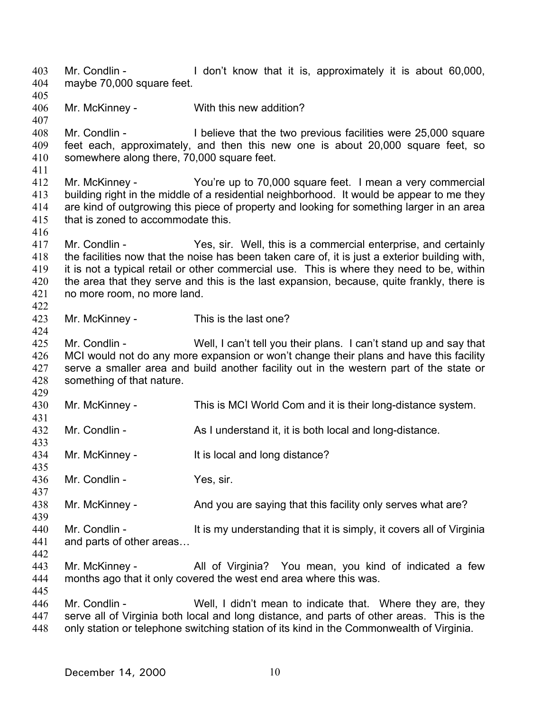403 404 405 406 407 408 409 410 411 412 413 414 415 416 417 418 419 420 421 422 423 424 425 426 427 428 429 430 431 432 433 434 435 436 437 438 439 440 441 442 443 444 445 446 447 448 Mr. Condlin - I don't know that it is, approximately it is about 60,000, maybe 70,000 square feet. Mr. McKinney - With this new addition? Mr. Condlin - I believe that the two previous facilities were 25,000 square feet each, approximately, and then this new one is about 20,000 square feet, so somewhere along there, 70,000 square feet. Mr. McKinney - You're up to 70,000 square feet. I mean a very commercial building right in the middle of a residential neighborhood. It would be appear to me they are kind of outgrowing this piece of property and looking for something larger in an area that is zoned to accommodate this. Mr. Condlin - The Yes, sir. Well, this is a commercial enterprise, and certainly the facilities now that the noise has been taken care of, it is just a exterior building with, it is not a typical retail or other commercial use. This is where they need to be, within the area that they serve and this is the last expansion, because, quite frankly, there is no more room, no more land. Mr. McKinney - This is the last one? Mr. Condlin - Well, I can't tell you their plans. I can't stand up and say that MCI would not do any more expansion or won't change their plans and have this facility serve a smaller area and build another facility out in the western part of the state or something of that nature. Mr. McKinney - This is MCI World Com and it is their long-distance system. Mr. Condlin - As I understand it, it is both local and long-distance. Mr. McKinney - It is local and long distance? Mr. Condlin - Yes, sir. Mr. McKinney - And you are saying that this facility only serves what are? Mr. Condlin - It is my understanding that it is simply, it covers all of Virginia and parts of other areas… Mr. McKinney - The All of Virginia? You mean, you kind of indicated a few months ago that it only covered the west end area where this was. Mr. Condlin - Well, I didn't mean to indicate that. Where they are, they serve all of Virginia both local and long distance, and parts of other areas. This is the only station or telephone switching station of its kind in the Commonwealth of Virginia.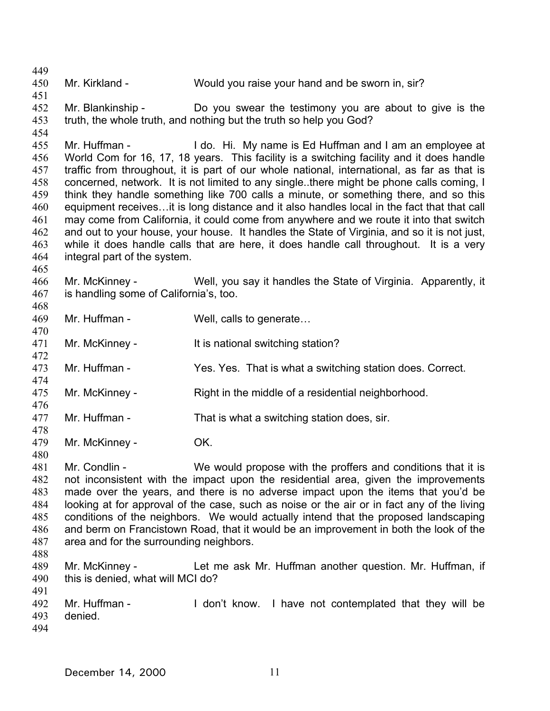449 450 451 452 453 454 455 456 457 458 459 460 461 462 463 464 465 466 467 468 469 470 471 472 473 474 475 476 477 478 479 480 481 482 483 484 485 486 487 488 489 490 491 492 493 494 Mr. Kirkland - Would you raise your hand and be sworn in, sir? Mr. Blankinship - Do you swear the testimony you are about to give is the truth, the whole truth, and nothing but the truth so help you God? Mr. Huffman - The I do. Hi. My name is Ed Huffman and I am an employee at World Com for 16, 17, 18 years. This facility is a switching facility and it does handle traffic from throughout, it is part of our whole national, international, as far as that is concerned, network. It is not limited to any single..there might be phone calls coming, I think they handle something like 700 calls a minute, or something there, and so this equipment receives…it is long distance and it also handles local in the fact that that call may come from California, it could come from anywhere and we route it into that switch and out to your house, your house. It handles the State of Virginia, and so it is not just, while it does handle calls that are here, it does handle call throughout. It is a very integral part of the system. Mr. McKinney - Well, you say it handles the State of Virginia. Apparently, it is handling some of California's, too. Mr. Huffman - Well, calls to generate... Mr. McKinney - It is national switching station? Mr. Huffman - Yes. Yes. That is what a switching station does. Correct. Mr. McKinney - Right in the middle of a residential neighborhood. Mr. Huffman - That is what a switching station does, sir. Mr. McKinney - **OK.** Mr. Condlin - We would propose with the proffers and conditions that it is not inconsistent with the impact upon the residential area, given the improvements made over the years, and there is no adverse impact upon the items that you'd be looking at for approval of the case, such as noise or the air or in fact any of the living conditions of the neighbors. We would actually intend that the proposed landscaping and berm on Francistown Road, that it would be an improvement in both the look of the area and for the surrounding neighbors. Mr. McKinney - Let me ask Mr. Huffman another question. Mr. Huffman, if this is denied, what will MCI do? Mr. Huffman - I don't know. I have not contemplated that they will be denied.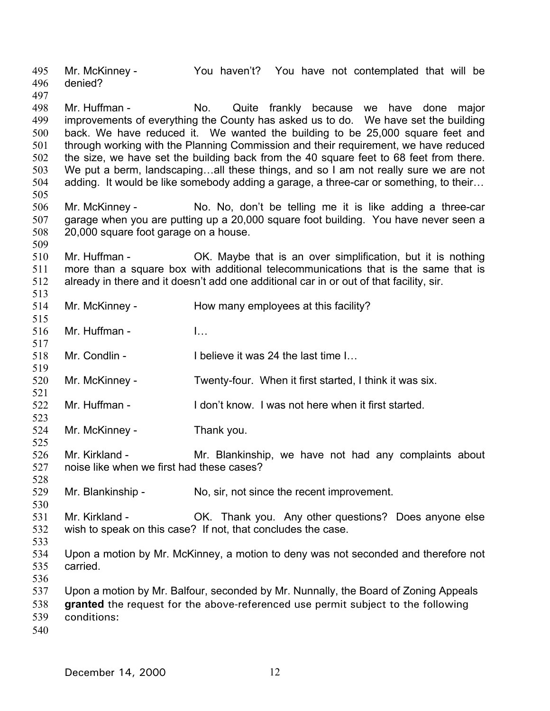495 496 497 498 499 500 501 502 503 504 505 506 507 508 509 510 511 512 513 514 515 516 517 518 519 520 521 522 523 524 525 526 527 528 529 530 531 532 533 534 535 536 537 538 539 540 Mr. McKinney - The You haven't? You have not contemplated that will be denied? Mr. Huffman - No. Quite frankly because we have done major improvements of everything the County has asked us to do. We have set the building back. We have reduced it. We wanted the building to be 25,000 square feet and through working with the Planning Commission and their requirement, we have reduced the size, we have set the building back from the 40 square feet to 68 feet from there. We put a berm, landscaping...all these things, and so I am not really sure we are not adding. It would be like somebody adding a garage, a three-car or something, to their… Mr. McKinney - No. No, don't be telling me it is like adding a three-car garage when you are putting up a 20,000 square foot building. You have never seen a 20,000 square foot garage on a house. Mr. Huffman - **OK.** Maybe that is an over simplification, but it is nothing more than a square box with additional telecommunications that is the same that is already in there and it doesn't add one additional car in or out of that facility, sir. Mr. McKinney - How many employees at this facility? Mr. Huffman - I… Mr. Condlin - I believe it was 24 the last time I... Mr. McKinney - Twenty-four. When it first started, I think it was six. Mr. Huffman - I don't know. I was not here when it first started. Mr. McKinney - Thank you. Mr. Kirkland - The Mr. Blankinship, we have not had any complaints about noise like when we first had these cases? Mr. Blankinship - No, sir, not since the recent improvement. Mr. Kirkland - **OK.** Thank you. Any other questions? Does anyone else wish to speak on this case? If not, that concludes the case. Upon a motion by Mr. McKinney, a motion to deny was not seconded and therefore not carried. Upon a motion by Mr. Balfour, seconded by Mr. Nunnally, the Board of Zoning Appeals **granted** the request for the above-referenced use permit subject to the following conditions: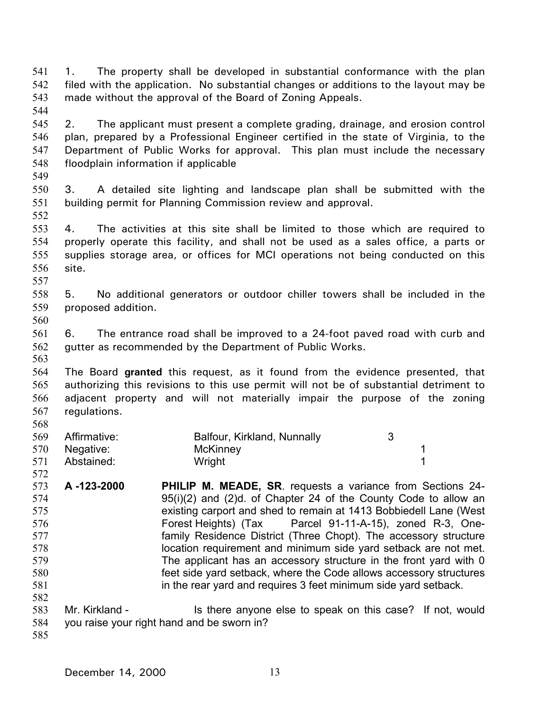541 542 543 544 1. The property shall be developed in substantial conformance with the plan filed with the application. No substantial changes or additions to the layout may be made without the approval of the Board of Zoning Appeals.

- 545 546 547 548 2. The applicant must present a complete grading, drainage, and erosion control plan, prepared by a Professional Engineer certified in the state of Virginia, to the Department of Public Works for approval. This plan must include the necessary floodplain information if applicable
- 550 551 3. A detailed site lighting and landscape plan shall be submitted with the building permit for Planning Commission review and approval.
- 553 554 555 556 557 4. The activities at this site shall be limited to those which are required to properly operate this facility, and shall not be used as a sales office, a parts or supplies storage area, or offices for MCI operations not being conducted on this site.
- 558 559 5. No additional generators or outdoor chiller towers shall be included in the proposed addition.
- 560

549

552

561 562 6. The entrance road shall be improved to a 24-foot paved road with curb and gutter as recommended by the Department of Public Works.

563

564 565 566 567 568 The Board **granted** this request, as it found from the evidence presented, that authorizing this revisions to this use permit will not be of substantial detriment to adjacent property and will not materially impair the purpose of the zoning regulations.

| 569 | Affirmative:  | Balfour, Kirkland, Nunnally |  |
|-----|---------------|-----------------------------|--|
|     | 570 Negative: | McKinney                    |  |
| 571 | Abstained:    | Wright                      |  |

- 572 573 574 575 576 577 578 579 580 581 582 **A -123-2000 PHILIP M. MEADE, SR**. requests a variance from Sections 24- 95(i)(2) and (2)d. of Chapter 24 of the County Code to allow an existing carport and shed to remain at 1413 Bobbiedell Lane (West Forest Heights) (Tax Parcel 91-11-A-15), zoned R-3, Onefamily Residence District (Three Chopt). The accessory structure location requirement and minimum side yard setback are not met. The applicant has an accessory structure in the front yard with 0 feet side yard setback, where the Code allows accessory structures in the rear yard and requires 3 feet minimum side yard setback.
- 583 584 Mr. Kirkland - Is there anyone else to speak on this case? If not, would you raise your right hand and be sworn in?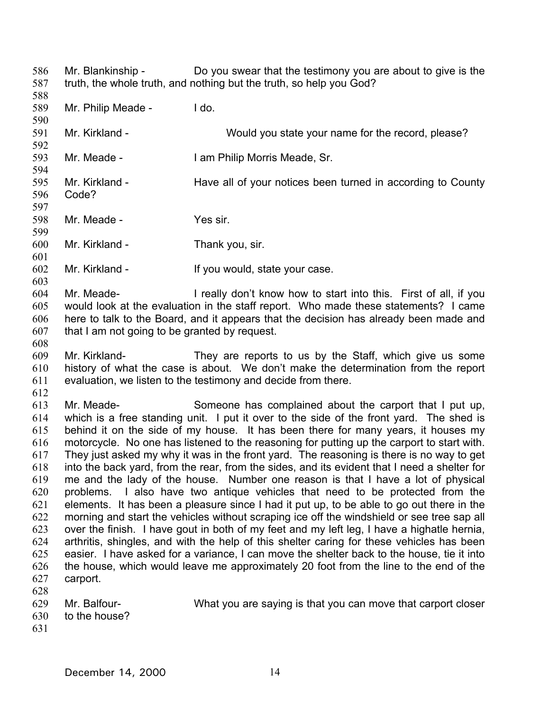586 587 Mr. Blankinship - Do you swear that the testimony you are about to give is the truth, the whole truth, and nothing but the truth, so help you God?

589 590 591 592 593 594 595 596 597 598 599 600 601 602 603 604 605 606 607 608 609 610 611 612 613 614 615 616 617 618 619 620 621 622 623 624 625 626 627 628 629 630 Mr. Philip Meade - I do. Mr. Kirkland - Would you state your name for the record, please? Mr. Meade - **I am Philip Morris Meade, Sr.** Mr. Kirkland - Have all of your notices been turned in according to County Code? Mr. Meade - Yes sir. Mr. Kirkland - Thank you, sir. Mr. Kirkland - If you would, state your case. Mr. Meade- I really don't know how to start into this. First of all, if you would look at the evaluation in the staff report. Who made these statements? I came here to talk to the Board, and it appears that the decision has already been made and that I am not going to be granted by request. Mr. Kirkland- They are reports to us by the Staff, which give us some history of what the case is about. We don't make the determination from the report evaluation, we listen to the testimony and decide from there. Mr. Meade- Someone has complained about the carport that I put up, which is a free standing unit. I put it over to the side of the front yard. The shed is behind it on the side of my house. It has been there for many years, it houses my motorcycle. No one has listened to the reasoning for putting up the carport to start with. They just asked my why it was in the front yard. The reasoning is there is no way to get into the back yard, from the rear, from the sides, and its evident that I need a shelter for me and the lady of the house. Number one reason is that I have a lot of physical problems. I also have two antique vehicles that need to be protected from the elements. It has been a pleasure since I had it put up, to be able to go out there in the morning and start the vehicles without scraping ice off the windshield or see tree sap all over the finish. I have gout in both of my feet and my left leg, I have a highatle hernia, arthritis, shingles, and with the help of this shelter caring for these vehicles has been easier. I have asked for a variance, I can move the shelter back to the house, tie it into the house, which would leave me approximately 20 foot from the line to the end of the carport. Mr. Balfour- What you are saying is that you can move that carport closer to the house?

631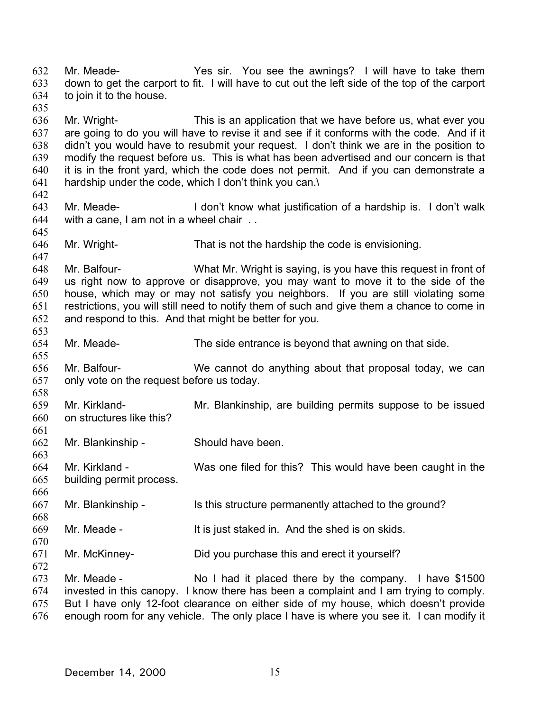632 633 634 635 636 637 638 639 640 641 642 643 644 645 646 647 648 649 650 651 652 653 654 655 656 657 658 659 660 661 662 663 664 665 666 667 668 669 670 671 672 673 674 675 676 Mr. Meade- Yes sir. You see the awnings? I will have to take them down to get the carport to fit. I will have to cut out the left side of the top of the carport to join it to the house. Mr. Wright- This is an application that we have before us, what ever you are going to do you will have to revise it and see if it conforms with the code. And if it didn't you would have to resubmit your request. I don't think we are in the position to modify the request before us. This is what has been advertised and our concern is that it is in the front yard, which the code does not permit. And if you can demonstrate a hardship under the code, which I don't think you can.\ Mr. Meade- I don't know what justification of a hardship is. I don't walk with a cane, I am not in a wheel chair . . Mr. Wright- That is not the hardship the code is envisioning. Mr. Balfour- What Mr. Wright is saying, is you have this request in front of us right now to approve or disapprove, you may want to move it to the side of the house, which may or may not satisfy you neighbors. If you are still violating some restrictions, you will still need to notify them of such and give them a chance to come in and respond to this. And that might be better for you. Mr. Meade- The side entrance is beyond that awning on that side. Mr. Balfour- We cannot do anything about that proposal today, we can only vote on the request before us today. Mr. Kirkland- Mr. Blankinship, are building permits suppose to be issued on structures like this? Mr. Blankinship - Should have been. Mr. Kirkland - Was one filed for this? This would have been caught in the building permit process. Mr. Blankinship - Is this structure permanently attached to the ground? Mr. Meade - It is just staked in. And the shed is on skids. Mr. McKinney- Did you purchase this and erect it yourself? Mr. Meade - No I had it placed there by the company. I have \$1500 invested in this canopy. I know there has been a complaint and I am trying to comply. But I have only 12-foot clearance on either side of my house, which doesn't provide enough room for any vehicle. The only place I have is where you see it. I can modify it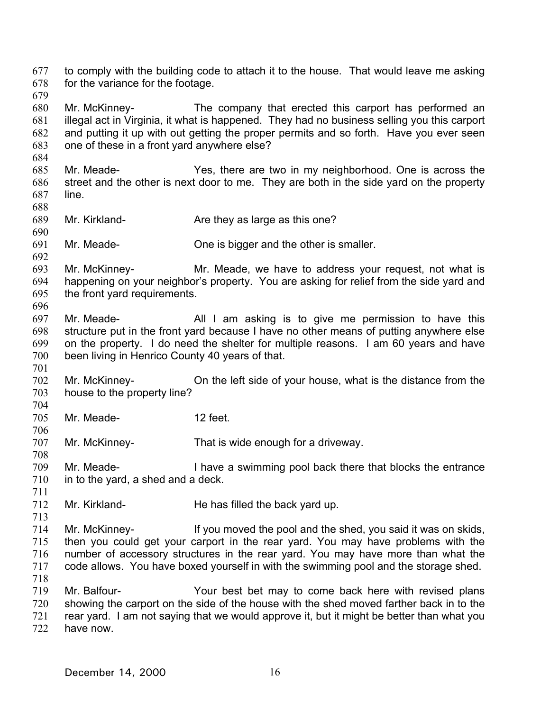677 678 to comply with the building code to attach it to the house. That would leave me asking for the variance for the footage.

679

684

688

690

701

706

711

713

680 681 682 683 Mr. McKinney- The company that erected this carport has performed an illegal act in Virginia, it what is happened. They had no business selling you this carport and putting it up with out getting the proper permits and so forth. Have you ever seen one of these in a front yard anywhere else?

- 685 686 687 Mr. Meade- Yes, there are two in my neighborhood. One is across the street and the other is next door to me. They are both in the side yard on the property line.
- 689 Mr. Kirkland- **Are they as large as this one?**
- 691 Mr. Meade- One is bigger and the other is smaller.
- 692 693 694 695 696 Mr. McKinney- Mr. Meade, we have to address your request, not what is happening on your neighbor's property. You are asking for relief from the side yard and the front yard requirements.
- 697 698 699 700 Mr. Meade- All I am asking is to give me permission to have this structure put in the front yard because I have no other means of putting anywhere else on the property. I do need the shelter for multiple reasons. I am 60 years and have been living in Henrico County 40 years of that.
- 702 703 704 Mr. McKinney- On the left side of your house, what is the distance from the house to the property line?
- 705 Mr. Meade- 12 feet.
- 707 708 Mr. McKinney- That is wide enough for a driveway.
- 709 710 Mr. Meade- **I have a swimming pool back there that blocks the entrance** in to the yard, a shed and a deck.
- 712 Mr. Kirkland- He has filled the back yard up.
- 714 715 716 717 718 Mr. McKinney- If you moved the pool and the shed, you said it was on skids, then you could get your carport in the rear yard. You may have problems with the number of accessory structures in the rear yard. You may have more than what the code allows. You have boxed yourself in with the swimming pool and the storage shed.
- 719 720 721 722 Mr. Balfour- Your best bet may to come back here with revised plans showing the carport on the side of the house with the shed moved farther back in to the rear yard. I am not saying that we would approve it, but it might be better than what you have now.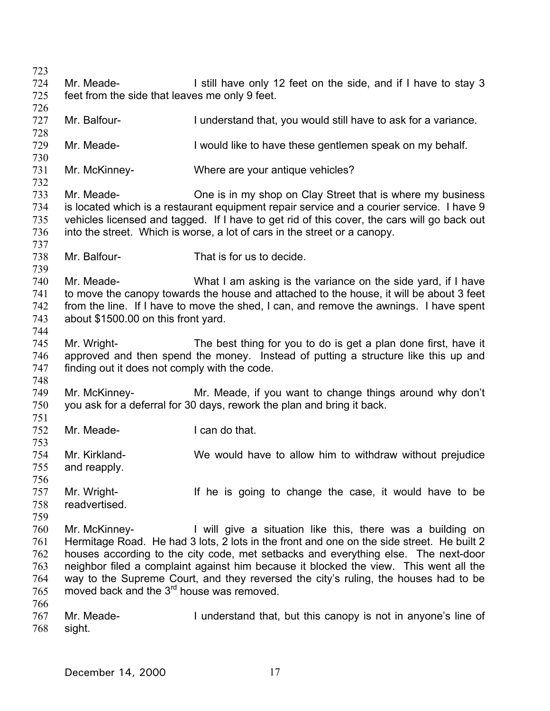723 724 725 726 727 728 729 730 731 732 733 734 735 736 737 738 739 740 741 742 743 744 745 746 747 748 749 750 751 752 753 754 755 756 757 758 759 760 761 762 763 764 765 766 767 768 Mr. Meade- I still have only 12 feet on the side, and if I have to stay 3 feet from the side that leaves me only 9 feet. Mr. Balfour- **I** understand that, you would still have to ask for a variance. Mr. Meade- I would like to have these gentlemen speak on my behalf. Mr. McKinney- Where are your antique vehicles? Mr. Meade- One is in my shop on Clay Street that is where my business is located which is a restaurant equipment repair service and a courier service. I have 9 vehicles licensed and tagged. If I have to get rid of this cover, the cars will go back out into the street. Which is worse, a lot of cars in the street or a canopy. Mr. Balfour- That is for us to decide. Mr. Meade- What I am asking is the variance on the side yard, if I have to move the canopy towards the house and attached to the house, it will be about 3 feet from the line. If I have to move the shed, I can, and remove the awnings. I have spent about \$1500.00 on this front yard. Mr. Wright- The best thing for you to do is get a plan done first, have it approved and then spend the money. Instead of putting a structure like this up and finding out it does not comply with the code. Mr. McKinney- Mr. Meade, if you want to change things around why don't you ask for a deferral for 30 days, rework the plan and bring it back. Mr. Meade- I can do that. Mr. Kirkland- We would have to allow him to withdraw without prejudice and reapply. Mr. Wright- If he is going to change the case, it would have to be readvertised. Mr. McKinney- I will give a situation like this, there was a building on Hermitage Road. He had 3 lots, 2 lots in the front and one on the side street. He built 2 houses according to the city code, met setbacks and everything else. The next-door neighbor filed a complaint against him because it blocked the view. This went all the way to the Supreme Court, and they reversed the city's ruling, the houses had to be moved back and the 3<sup>rd</sup> house was removed. Mr. Meade- I understand that, but this canopy is not in anyone's line of sight.

December 14, 2000 17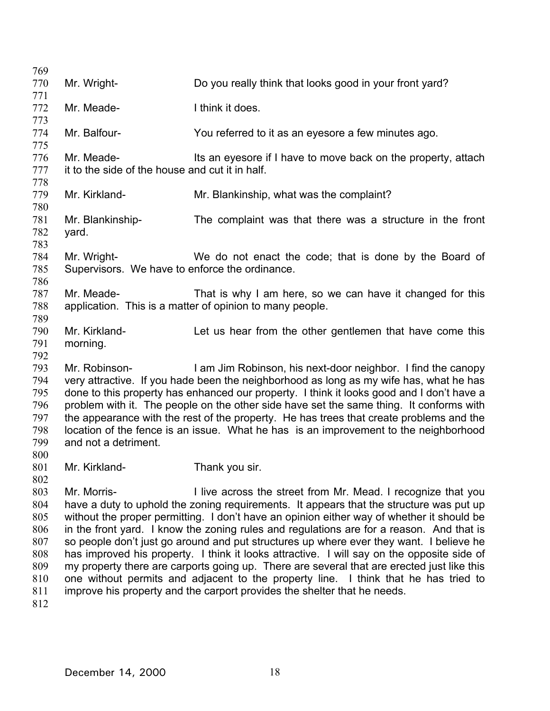| 769 |                                                 |                                                                                            |
|-----|-------------------------------------------------|--------------------------------------------------------------------------------------------|
| 770 | Mr. Wright-                                     | Do you really think that looks good in your front yard?                                    |
| 771 |                                                 |                                                                                            |
| 772 | Mr. Meade-                                      | I think it does.                                                                           |
| 773 |                                                 |                                                                                            |
| 774 | Mr. Balfour-                                    | You referred to it as an eyesore a few minutes ago.                                        |
| 775 |                                                 |                                                                                            |
| 776 | Mr. Meade-                                      | Its an eyesore if I have to move back on the property, attach                              |
| 777 | it to the side of the house and cut it in half. |                                                                                            |
| 778 |                                                 |                                                                                            |
| 779 | Mr. Kirkland-                                   | Mr. Blankinship, what was the complaint?                                                   |
| 780 |                                                 |                                                                                            |
| 781 | Mr. Blankinship-                                | The complaint was that there was a structure in the front                                  |
| 782 | yard.                                           |                                                                                            |
| 783 |                                                 |                                                                                            |
| 784 | Mr. Wright-                                     | We do not enact the code; that is done by the Board of                                     |
| 785 | Supervisors. We have to enforce the ordinance.  |                                                                                            |
| 786 |                                                 |                                                                                            |
| 787 | Mr. Meade-                                      | That is why I am here, so we can have it changed for this                                  |
| 788 |                                                 | application. This is a matter of opinion to many people.                                   |
| 789 |                                                 |                                                                                            |
| 790 | Mr. Kirkland-                                   | Let us hear from the other gentlemen that have come this                                   |
| 791 | morning.                                        |                                                                                            |
| 792 |                                                 |                                                                                            |
| 793 | Mr. Robinson-                                   | I am Jim Robinson, his next-door neighbor. I find the canopy                               |
| 794 |                                                 | very attractive. If you hade been the neighborhood as long as my wife has, what he has     |
| 795 |                                                 | done to this property has enhanced our property. I think it looks good and I don't have a  |
| 796 |                                                 | problem with it. The people on the other side have set the same thing. It conforms with    |
| 797 |                                                 | the appearance with the rest of the property. He has trees that create problems and the    |
| 798 |                                                 | location of the fence is an issue. What he has is an improvement to the neighborhood       |
| 799 | and not a detriment.                            |                                                                                            |
| 800 |                                                 |                                                                                            |
| 801 | Mr. Kirkland-                                   | Thank you sir.                                                                             |
| 802 |                                                 |                                                                                            |
| 803 | Mr. Morris-                                     | I live across the street from Mr. Mead. I recognize that you                               |
| 804 |                                                 | have a duty to uphold the zoning requirements. It appears that the structure was put up    |
| 805 |                                                 | without the proper permitting. I don't have an opinion either way of whether it should be  |
| 806 |                                                 | in the front yard. I know the zoning rules and regulations are for a reason. And that is   |
| 807 |                                                 | so people don't just go around and put structures up where ever they want. I believe he    |
| 808 |                                                 | has improved his property. I think it looks attractive. I will say on the opposite side of |
| 809 |                                                 | my property there are carports going up. There are several that are erected just like this |
| 810 |                                                 | one without permits and adjacent to the property line. I think that he has tried to        |
| 811 |                                                 | improve his property and the carport provides the shelter that he needs.                   |
| 812 |                                                 |                                                                                            |
|     |                                                 |                                                                                            |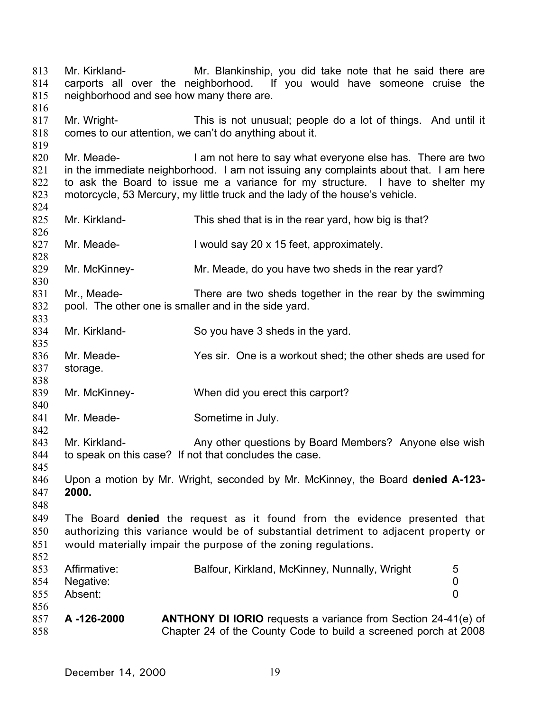813 814 815 816 817 818 819 820 821 822 823 824 825 826 827 828 829 830 831 832 833 834 835 836 837 838 839 840 841 842 843 844 845 846 847 848 849 850 851 852 853 854 855 856 857 858 Mr. Kirkland- Mr. Blankinship, you did take note that he said there are carports all over the neighborhood. If you would have someone cruise the neighborhood and see how many there are. Mr. Wright- This is not unusual; people do a lot of things. And until it comes to our attention, we can't do anything about it. Mr. Meade- I am not here to say what everyone else has. There are two in the immediate neighborhood. I am not issuing any complaints about that. I am here to ask the Board to issue me a variance for my structure. I have to shelter my motorcycle, 53 Mercury, my little truck and the lady of the house's vehicle. Mr. Kirkland- This shed that is in the rear yard, how big is that? Mr. Meade- I would say 20 x 15 feet, approximately. Mr. McKinney- Mr. Meade, do you have two sheds in the rear yard? Mr., Meade- There are two sheds together in the rear by the swimming pool. The other one is smaller and in the side yard. Mr. Kirkland- So you have 3 sheds in the yard. Mr. Meade- Yes sir. One is a workout shed; the other sheds are used for storage. Mr. McKinney- When did you erect this carport? Mr. Meade- Sometime in July. Mr. Kirkland- Any other questions by Board Members? Anyone else wish to speak on this case? If not that concludes the case. Upon a motion by Mr. Wright, seconded by Mr. McKinney, the Board **denied A-123- 2000.** The Board **denied** the request as it found from the evidence presented that authorizing this variance would be of substantial detriment to adjacent property or would materially impair the purpose of the zoning regulations. Affirmative: Balfour, Kirkland, McKinney, Nunnally, Wright 5 Negative: 0 Absent: 0 **A -126-2000 ANTHONY DI IORIO** requests a variance from Section 24-41(e) of Chapter 24 of the County Code to build a screened porch at 2008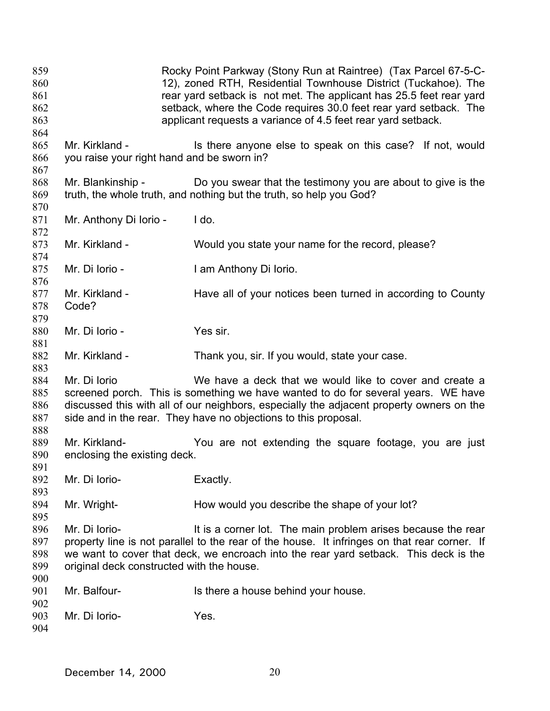859 860 861 862 863 864 865 866 867 868 869 870 871 872 873 874 875 876 877 878 879 880 881 882 883 884 885 886 887 888 889 890 891 892 893 894 895 896 897 898 899 900 901 902 903 904 Rocky Point Parkway (Stony Run at Raintree) (Tax Parcel 67-5-C-12), zoned RTH, Residential Townhouse District (Tuckahoe). The rear yard setback is not met. The applicant has 25.5 feet rear yard setback, where the Code requires 30.0 feet rear yard setback. The applicant requests a variance of 4.5 feet rear yard setback. Mr. Kirkland - Is there anyone else to speak on this case? If not, would you raise your right hand and be sworn in? Mr. Blankinship - Do you swear that the testimony you are about to give is the truth, the whole truth, and nothing but the truth, so help you God? Mr. Anthony Di Iorio - Ido. Mr. Kirkland - Would you state your name for the record, please? Mr. Di Iorio - Iam Anthony Di Iorio. Mr. Kirkland - Have all of your notices been turned in according to County Code? Mr. Di Iorio - Yes sir. Mr. Kirkland - Thank you, sir. If you would, state your case. Mr. Di Iorio **We have a deck that we would like to cover and create a** screened porch. This is something we have wanted to do for several years. WE have discussed this with all of our neighbors, especially the adjacent property owners on the side and in the rear. They have no objections to this proposal. Mr. Kirkland- You are not extending the square footage, you are just enclosing the existing deck. Mr. Di Iorio-<br>
Exactly. Mr. Wright- How would you describe the shape of your lot? Mr. Di Iorio- **It is a corner lot.** The main problem arises because the rear property line is not parallel to the rear of the house. It infringes on that rear corner. If we want to cover that deck, we encroach into the rear yard setback. This deck is the original deck constructed with the house. Mr. Balfour- **IS there a house behind your house.** Mr. Di Iorio- Yes.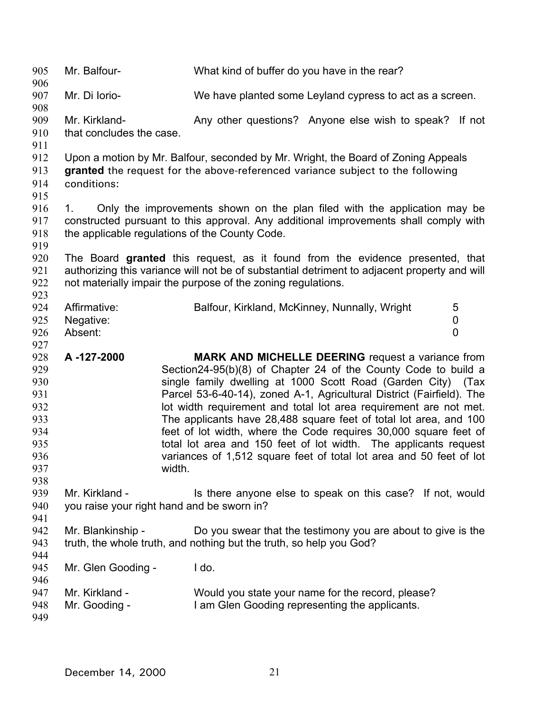| 905<br>906                                                                | Mr. Balfour-                              | What kind of buffer do you have in the rear?                                                                                                                                                                                                                                                                                                                                                                                                                                                                                                                                                                                      |      |
|---------------------------------------------------------------------------|-------------------------------------------|-----------------------------------------------------------------------------------------------------------------------------------------------------------------------------------------------------------------------------------------------------------------------------------------------------------------------------------------------------------------------------------------------------------------------------------------------------------------------------------------------------------------------------------------------------------------------------------------------------------------------------------|------|
| 907                                                                       | Mr. Di Iorio-                             | We have planted some Leyland cypress to act as a screen.                                                                                                                                                                                                                                                                                                                                                                                                                                                                                                                                                                          |      |
| 908<br>909<br>910<br>911                                                  | Mr. Kirkland-<br>that concludes the case. | Any other questions? Anyone else wish to speak? If not                                                                                                                                                                                                                                                                                                                                                                                                                                                                                                                                                                            |      |
| 912<br>913<br>914<br>915                                                  | conditions:                               | Upon a motion by Mr. Balfour, seconded by Mr. Wright, the Board of Zoning Appeals<br>granted the request for the above-referenced variance subject to the following                                                                                                                                                                                                                                                                                                                                                                                                                                                               |      |
| 916<br>917<br>918<br>919                                                  | 1.                                        | Only the improvements shown on the plan filed with the application may be<br>constructed pursuant to this approval. Any additional improvements shall comply with<br>the applicable regulations of the County Code.                                                                                                                                                                                                                                                                                                                                                                                                               |      |
| 920<br>921<br>922<br>923                                                  |                                           | The Board granted this request, as it found from the evidence presented, that<br>authorizing this variance will not be of substantial detriment to adjacent property and will<br>not materially impair the purpose of the zoning regulations.                                                                                                                                                                                                                                                                                                                                                                                     |      |
| 924<br>925<br>926                                                         | Affirmative:<br>Negative:<br>Absent:      | Balfour, Kirkland, McKinney, Nunnally, Wright<br>5<br>$\mathbf 0$<br>$\overline{0}$                                                                                                                                                                                                                                                                                                                                                                                                                                                                                                                                               |      |
|                                                                           |                                           |                                                                                                                                                                                                                                                                                                                                                                                                                                                                                                                                                                                                                                   |      |
| 927<br>928<br>929<br>930<br>931<br>932<br>933<br>934<br>935<br>936<br>937 | A-127-2000                                | <b>MARK AND MICHELLE DEERING request a variance from</b><br>Section24-95(b)(8) of Chapter 24 of the County Code to build a<br>single family dwelling at 1000 Scott Road (Garden City)<br>Parcel 53-6-40-14), zoned A-1, Agricultural District (Fairfield). The<br>lot width requirement and total lot area requirement are not met.<br>The applicants have 28,488 square feet of total lot area, and 100<br>feet of lot width, where the Code requires 30,000 square feet of<br>total lot area and 150 feet of lot width. The applicants request<br>variances of 1,512 square feet of total lot area and 50 feet of lot<br>width. | (Tax |
| 938<br>939<br>940                                                         | Mr. Kirkland -                            | Is there anyone else to speak on this case? If not, would<br>you raise your right hand and be sworn in?                                                                                                                                                                                                                                                                                                                                                                                                                                                                                                                           |      |
| 941<br>942<br>943                                                         | Mr. Blankinship -                         | Do you swear that the testimony you are about to give is the<br>truth, the whole truth, and nothing but the truth, so help you God?                                                                                                                                                                                                                                                                                                                                                                                                                                                                                               |      |
| 944<br>945<br>946                                                         | Mr. Glen Gooding -                        | I do.                                                                                                                                                                                                                                                                                                                                                                                                                                                                                                                                                                                                                             |      |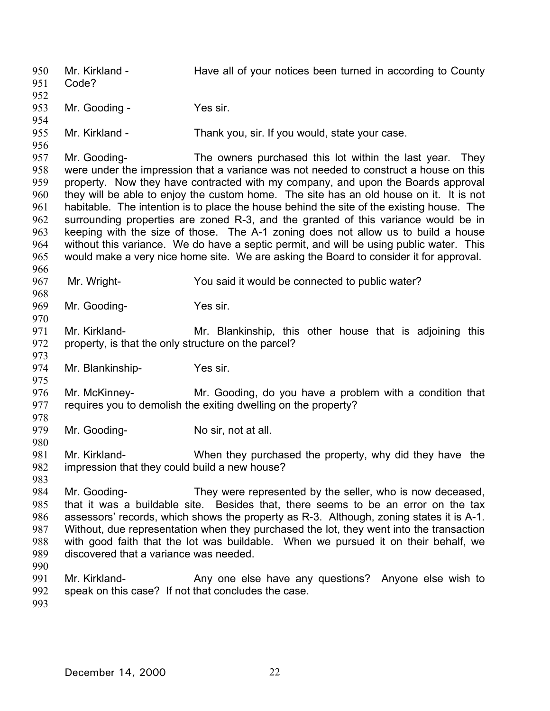950 951 952 953 954 955 956 957 958 959 960 961 962 963 964 965 966 967 968 969 970 971 972 973 974 975 976 977 978 979 980 981 982 983 984 985 986 987 988 989 990 991 992 993 Mr. Kirkland - Have all of your notices been turned in according to County Code? Mr. Gooding - Yes sir. Mr. Kirkland - Thank you, sir. If you would, state your case. Mr. Gooding- The owners purchased this lot within the last year. They were under the impression that a variance was not needed to construct a house on this property. Now they have contracted with my company, and upon the Boards approval they will be able to enjoy the custom home. The site has an old house on it. It is not habitable. The intention is to place the house behind the site of the existing house. The surrounding properties are zoned R-3, and the granted of this variance would be in keeping with the size of those. The A-1 zoning does not allow us to build a house without this variance. We do have a septic permit, and will be using public water. This would make a very nice home site. We are asking the Board to consider it for approval. Mr. Wright- You said it would be connected to public water? Mr. Gooding-<br>
Yes sir. Mr. Kirkland- Mr. Blankinship, this other house that is adjoining this property, is that the only structure on the parcel? Mr. Blankinship- Yes sir. Mr. McKinney- Mr. Gooding, do you have a problem with a condition that requires you to demolish the exiting dwelling on the property? Mr. Gooding-<br>
No sir, not at all. Mr. Kirkland- When they purchased the property, why did they have the impression that they could build a new house? Mr. Gooding- They were represented by the seller, who is now deceased, that it was a buildable site. Besides that, there seems to be an error on the tax assessors' records, which shows the property as R-3. Although, zoning states it is A-1. Without, due representation when they purchased the lot, they went into the transaction with good faith that the lot was buildable. When we pursued it on their behalf, we discovered that a variance was needed. Mr. Kirkland- **Any one else have any questions?** Anyone else wish to speak on this case? If not that concludes the case.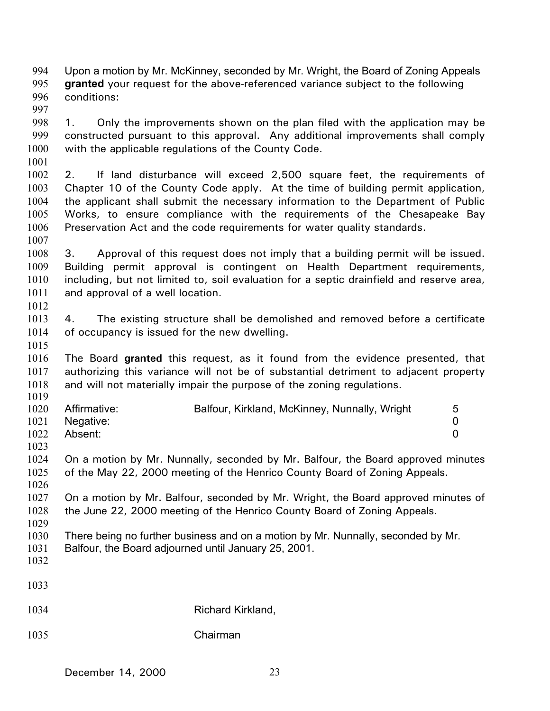994 995 996 997 998 999 1000 1001 1002 1003 1004 1005 1006 1007 1008 1009 1010 1011 1012 1013 1014 1015 1016 1017 1018 1019 1020 1021 1022 1023 1024 1025 1026 1027 1028 1029 1030 1031 1032 1033 1034 1035 Upon a motion by Mr. McKinney, seconded by Mr. Wright, the Board of Zoning Appeals **granted** your request for the above-referenced variance subject to the following conditions: 1. Only the improvements shown on the plan filed with the application may be constructed pursuant to this approval. Any additional improvements shall comply with the applicable regulations of the County Code. 2. If land disturbance will exceed 2,500 square feet, the requirements of Chapter 10 of the County Code apply. At the time of building permit application, the applicant shall submit the necessary information to the Department of Public Works, to ensure compliance with the requirements of the Chesapeake Bay Preservation Act and the code requirements for water quality standards. 3. Approval of this request does not imply that a building permit will be issued. Building permit approval is contingent on Health Department requirements, including, but not limited to, soil evaluation for a septic drainfield and reserve area, and approval of a well location. 4. The existing structure shall be demolished and removed before a certificate of occupancy is issued for the new dwelling. The Board **granted** this request, as it found from the evidence presented, that authorizing this variance will not be of substantial detriment to adjacent property and will not materially impair the purpose of the zoning regulations. Affirmative: Balfour, Kirkland, McKinney, Nunnally, Wright 5 Negative: 0 Absent: 0 On a motion by Mr. Nunnally, seconded by Mr. Balfour, the Board approved minutes of the May 22, 2000 meeting of the Henrico County Board of Zoning Appeals. On a motion by Mr. Balfour, seconded by Mr. Wright, the Board approved minutes of the June 22, 2000 meeting of the Henrico County Board of Zoning Appeals. There being no further business and on a motion by Mr. Nunnally, seconded by Mr. Balfour, the Board adjourned until January 25, 2001. Richard Kirkland, Chairman